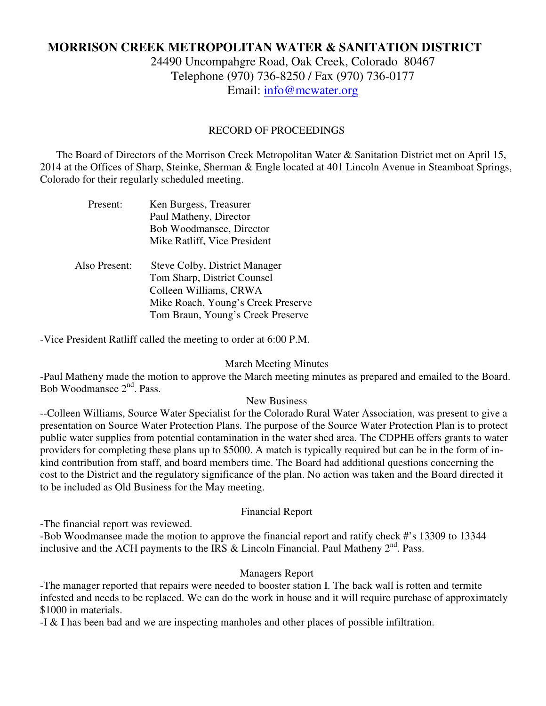# **MORRISON CREEK METROPOLITAN WATER & SANITATION DISTRICT**

24490 Uncompahgre Road, Oak Creek, Colorado 80467 Telephone (970) 736-8250 / Fax (970) 736-0177 Email: info@mcwater.org

## RECORD OF PROCEEDINGS

 The Board of Directors of the Morrison Creek Metropolitan Water & Sanitation District met on April 15, 2014 at the Offices of Sharp, Steinke, Sherman & Engle located at 401 Lincoln Avenue in Steamboat Springs, Colorado for their regularly scheduled meeting.

| Present:      | Ken Burgess, Treasurer<br>Paul Matheny, Director<br>Bob Woodmansee, Director<br>Mike Ratliff, Vice President                                                             |
|---------------|--------------------------------------------------------------------------------------------------------------------------------------------------------------------------|
| Also Present: | <b>Steve Colby, District Manager</b><br>Tom Sharp, District Counsel<br>Colleen Williams, CRWA<br>Mike Roach, Young's Creek Preserve<br>Tom Braun, Young's Creek Preserve |

-Vice President Ratliff called the meeting to order at 6:00 P.M.

### March Meeting Minutes

-Paul Matheny made the motion to approve the March meeting minutes as prepared and emailed to the Board. Bob Woodmansee 2<sup>nd</sup>, Pass.

### New Business

--Colleen Williams, Source Water Specialist for the Colorado Rural Water Association, was present to give a presentation on Source Water Protection Plans. The purpose of the Source Water Protection Plan is to protect public water supplies from potential contamination in the water shed area. The CDPHE offers grants to water providers for completing these plans up to \$5000. A match is typically required but can be in the form of inkind contribution from staff, and board members time. The Board had additional questions concerning the cost to the District and the regulatory significance of the plan. No action was taken and the Board directed it to be included as Old Business for the May meeting.

### Financial Report

-The financial report was reviewed.

-Bob Woodmansee made the motion to approve the financial report and ratify check #'s 13309 to 13344 inclusive and the ACH payments to the IRS & Lincoln Financial. Paul Matheny  $2^{nd}$ . Pass.

## Managers Report

-The manager reported that repairs were needed to booster station I. The back wall is rotten and termite infested and needs to be replaced. We can do the work in house and it will require purchase of approximately \$1000 in materials.

-I & I has been bad and we are inspecting manholes and other places of possible infiltration.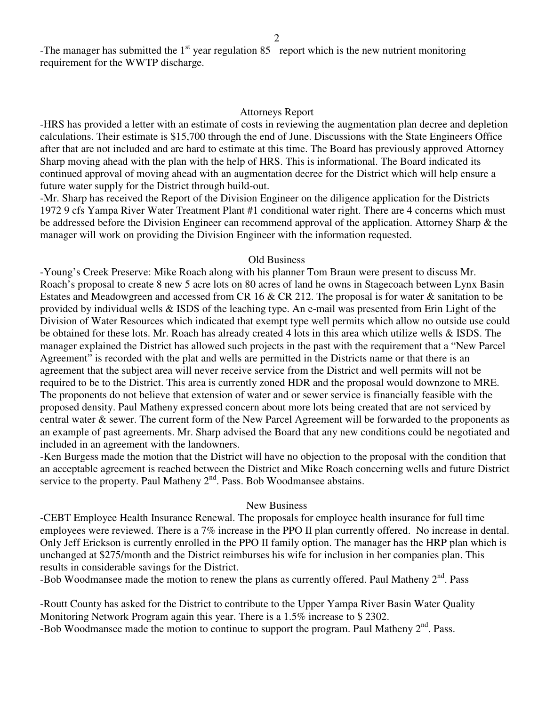-The manager has submitted the  $1<sup>st</sup>$  year regulation 85 report which is the new nutrient monitoring requirement for the WWTP discharge.

#### Attorneys Report

-HRS has provided a letter with an estimate of costs in reviewing the augmentation plan decree and depletion calculations. Their estimate is \$15,700 through the end of June. Discussions with the State Engineers Office after that are not included and are hard to estimate at this time. The Board has previously approved Attorney Sharp moving ahead with the plan with the help of HRS. This is informational. The Board indicated its continued approval of moving ahead with an augmentation decree for the District which will help ensure a future water supply for the District through build-out.

-Mr. Sharp has received the Report of the Division Engineer on the diligence application for the Districts 1972 9 cfs Yampa River Water Treatment Plant #1 conditional water right. There are 4 concerns which must be addressed before the Division Engineer can recommend approval of the application. Attorney Sharp & the manager will work on providing the Division Engineer with the information requested.

#### Old Business

-Young's Creek Preserve: Mike Roach along with his planner Tom Braun were present to discuss Mr. Roach's proposal to create 8 new 5 acre lots on 80 acres of land he owns in Stagecoach between Lynx Basin Estates and Meadowgreen and accessed from CR 16  $&$  CR 212. The proposal is for water  $&$  sanitation to be provided by individual wells & ISDS of the leaching type. An e-mail was presented from Erin Light of the Division of Water Resources which indicated that exempt type well permits which allow no outside use could be obtained for these lots. Mr. Roach has already created 4 lots in this area which utilize wells & ISDS. The manager explained the District has allowed such projects in the past with the requirement that a "New Parcel Agreement" is recorded with the plat and wells are permitted in the Districts name or that there is an agreement that the subject area will never receive service from the District and well permits will not be required to be to the District. This area is currently zoned HDR and the proposal would downzone to MRE. The proponents do not believe that extension of water and or sewer service is financially feasible with the proposed density. Paul Matheny expressed concern about more lots being created that are not serviced by central water & sewer. The current form of the New Parcel Agreement will be forwarded to the proponents as an example of past agreements. Mr. Sharp advised the Board that any new conditions could be negotiated and included in an agreement with the landowners.

-Ken Burgess made the motion that the District will have no objection to the proposal with the condition that an acceptable agreement is reached between the District and Mike Roach concerning wells and future District service to the property. Paul Matheny  $2<sup>nd</sup>$ . Pass. Bob Woodmansee abstains.

#### New Business

-CEBT Employee Health Insurance Renewal. The proposals for employee health insurance for full time employees were reviewed. There is a 7% increase in the PPO II plan currently offered. No increase in dental. Only Jeff Erickson is currently enrolled in the PPO II family option. The manager has the HRP plan which is unchanged at \$275/month and the District reimburses his wife for inclusion in her companies plan. This results in considerable savings for the District.

-Bob Woodmansee made the motion to renew the plans as currently offered. Paul Matheny  $2<sup>nd</sup>$ . Pass

-Routt County has asked for the District to contribute to the Upper Yampa River Basin Water Quality Monitoring Network Program again this year. There is a 1.5% increase to \$ 2302.

-Bob Woodmansee made the motion to continue to support the program. Paul Matheny 2<sup>nd</sup>. Pass.